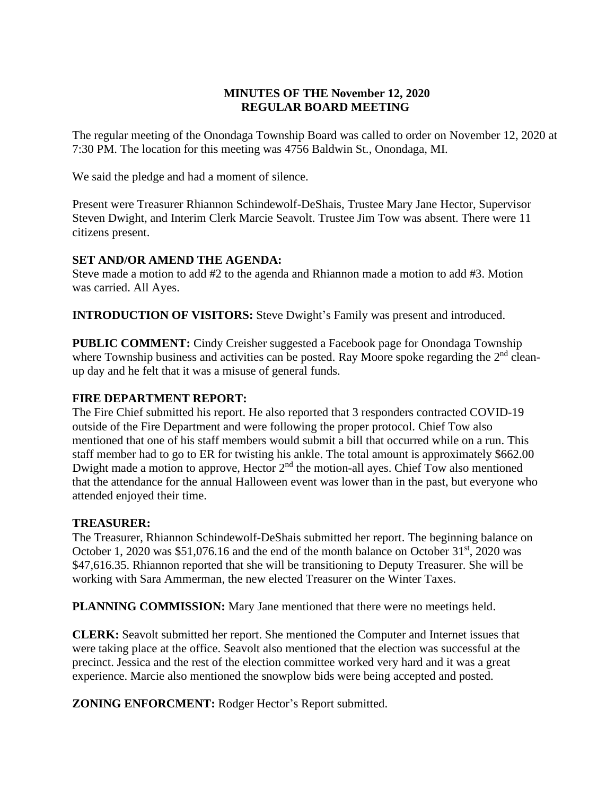# **MINUTES OF THE November 12, 2020 REGULAR BOARD MEETING**

The regular meeting of the Onondaga Township Board was called to order on November 12, 2020 at 7:30 PM. The location for this meeting was 4756 Baldwin St., Onondaga, MI.

We said the pledge and had a moment of silence.

Present were Treasurer Rhiannon Schindewolf-DeShais, Trustee Mary Jane Hector, Supervisor Steven Dwight, and Interim Clerk Marcie Seavolt. Trustee Jim Tow was absent. There were 11 citizens present.

# **SET AND/OR AMEND THE AGENDA:**

Steve made a motion to add #2 to the agenda and Rhiannon made a motion to add #3. Motion was carried. All Ayes.

**INTRODUCTION OF VISITORS:** Steve Dwight's Family was present and introduced.

**PUBLIC COMMENT:** Cindy Creisher suggested a Facebook page for Onondaga Township where Township business and activities can be posted. Ray Moore spoke regarding the 2<sup>nd</sup> cleanup day and he felt that it was a misuse of general funds.

# **FIRE DEPARTMENT REPORT:**

The Fire Chief submitted his report. He also reported that 3 responders contracted COVID-19 outside of the Fire Department and were following the proper protocol. Chief Tow also mentioned that one of his staff members would submit a bill that occurred while on a run. This staff member had to go to ER for twisting his ankle. The total amount is approximately \$662.00 Dwight made a motion to approve, Hector 2<sup>nd</sup> the motion-all ayes. Chief Tow also mentioned that the attendance for the annual Halloween event was lower than in the past, but everyone who attended enjoyed their time.

## **TREASURER:**

The Treasurer, Rhiannon Schindewolf-DeShais submitted her report. The beginning balance on October 1, 2020 was  $$51,076.16$  and the end of the month balance on October  $31<sup>st</sup>$ , 2020 was \$47,616.35. Rhiannon reported that she will be transitioning to Deputy Treasurer. She will be working with Sara Ammerman, the new elected Treasurer on the Winter Taxes.

**PLANNING COMMISSION:** Mary Jane mentioned that there were no meetings held.

**CLERK:** Seavolt submitted her report. She mentioned the Computer and Internet issues that were taking place at the office. Seavolt also mentioned that the election was successful at the precinct. Jessica and the rest of the election committee worked very hard and it was a great experience. Marcie also mentioned the snowplow bids were being accepted and posted.

**ZONING ENFORCMENT:** Rodger Hector's Report submitted.